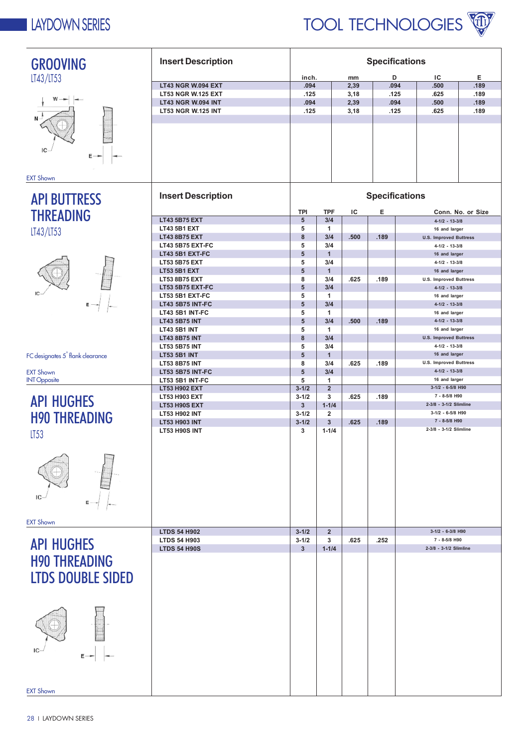

| <b>GROOVING</b>                              | <b>Insert Description</b>                              | <b>Specifications</b> |                               |      |      |                                                       |                   |
|----------------------------------------------|--------------------------------------------------------|-----------------------|-------------------------------|------|------|-------------------------------------------------------|-------------------|
| LT43/LT53                                    |                                                        | inch.                 |                               | mm   | D    | ΙC                                                    | Е                 |
|                                              | LT43 NGR W.094 EXT                                     | .094                  |                               | 2,39 | .094 | .500                                                  | .189              |
|                                              | <b>LT53 NGR W.125 EXT</b>                              | .125                  |                               | 3,18 | .125 | .625                                                  | .189              |
|                                              | <b>LT43 NGR W.094 INT</b><br><b>LT53 NGR W.125 INT</b> | .094                  |                               | 2,39 | .094 | .500<br>.625                                          | .189<br>.189      |
|                                              |                                                        | .125                  |                               | 3,18 | .125 |                                                       |                   |
|                                              |                                                        |                       |                               |      |      |                                                       |                   |
|                                              |                                                        |                       |                               |      |      |                                                       |                   |
| IC                                           |                                                        |                       |                               |      |      |                                                       |                   |
| Ε                                            |                                                        |                       |                               |      |      |                                                       |                   |
|                                              |                                                        |                       |                               |      |      |                                                       |                   |
| <b>EXT Shown</b>                             |                                                        |                       |                               |      |      |                                                       |                   |
|                                              | <b>Insert Description</b>                              | <b>Specifications</b> |                               |      |      |                                                       |                   |
| <b>API BUTTRESS</b>                          |                                                        |                       |                               |      |      |                                                       |                   |
| <b>THREADING</b>                             |                                                        | <b>TPI</b>            | <b>TPF</b>                    | IC   | Е    |                                                       | Conn. No. or Size |
|                                              | <b>LT43 5B75 EXT</b>                                   | 5                     | 3/4                           |      |      | $4 - 1/2 - 13 - 3/8$                                  |                   |
| LT43/LT53                                    | <b>LT43 5B1 EXT</b>                                    | 5<br>8                | $\blacktriangleleft$<br>3/4   |      |      | 16 and larger                                         |                   |
|                                              | <b>LT43 8B75 EXT</b><br><b>LT43 5B75 EXT-FC</b>        | 5                     | 3/4                           | .500 | .189 | <b>U.S. Improved Buttress</b><br>$4 - 1/2 - 13 - 3/8$ |                   |
|                                              | LT43 5B1 EXT-FC                                        | 5                     | $\mathbf{1}$                  |      |      | 16 and larger                                         |                   |
|                                              | <b>LT53 5B75 EXT</b>                                   | 5                     | 3/4                           |      |      | $4 - 1/2 - 13 - 3/8$                                  |                   |
|                                              | <b>LT53 5B1 EXT</b>                                    | 5                     | $\overline{1}$                |      |      | 16 and larger                                         |                   |
|                                              | LT53 8B75 EXT                                          | 8                     | 3/4                           | .625 | .189 | <b>U.S. Improved Buttress</b>                         |                   |
|                                              | <b>LT53 5B75 EXT-FC</b><br>LT53 5B1 EXT-FC             | 5<br>5                | 3/4<br>$\mathbf{1}$           |      |      | $4 - 1/2 - 13 - 3/8$<br>16 and larger                 |                   |
|                                              | <b>LT43 5B75 INT-FC</b>                                | 5                     | 3/4                           |      |      | $4 - 1/2 - 13 - 3/8$                                  |                   |
|                                              | LT43 5B1 INT-FC                                        | 5                     | $\blacktriangleleft$          |      |      | 16 and larger                                         |                   |
|                                              | <b>LT43 5B75 INT</b>                                   | 5                     | 3/4                           | .500 | .189 | $4-1/2 - 13-3/8$                                      |                   |
|                                              | <b>LT43 5B1 INT</b>                                    | 5                     | $\blacktriangleleft$          |      |      | 16 and larger<br><b>U.S. Improved Buttress</b>        |                   |
|                                              | <b>LT43 8B75 INT</b><br><b>LT53 5B75 INT</b>           | 8<br>5                | 3/4<br>3/4                    |      |      | $4 - 1/2 - 13 - 3/8$                                  |                   |
| FC designates 5 <sup>°</sup> flank clearance | <b>LT53 5B1 INT</b>                                    | 5                     | $\mathbf{1}$                  |      |      | 16 and larger                                         |                   |
|                                              | LT53 8B75 INT                                          | 8                     | 3/4                           | .625 | .189 | <b>U.S. Improved Buttress</b>                         |                   |
| <b>EXT Shown</b>                             | <b>LT53 5B75 INT-FC</b>                                | 5                     | 3/4                           |      |      | $4 - 1/2 - 13 - 3/8$                                  |                   |
| <b>INT Opposite</b>                          | <b>LT53 5B1 INT-FC</b>                                 | 5<br>$3 - 1/2$        | $\mathbf 1$<br>$\overline{2}$ |      |      | 16 and larger<br>$3-1/2 - 6-5/8$ H90                  |                   |
|                                              | LT53 H902 EXT<br>LT53 H903 EXT                         | $3 - 1/2$             | 3                             | .625 | .189 | 7 - 8-5/8 H90                                         |                   |
| <b>API HUGHES</b>                            | <b>LT53 H90S EXT</b>                                   | $\mathbf{3}$          | $1 - 1/4$                     |      |      | 2-3/8 - 3-1/2 Slimline                                |                   |
| <b>H90 THREADING</b>                         | LT53 H902 INT                                          | $3 - 1/2$             | $\overline{2}$                |      |      | $3-1/2 - 6-5/8$ H90                                   |                   |
|                                              | <b>LT53 H903 INT</b>                                   | $3 - 1/2$             | $\overline{3}$                | .625 | .189 | 7 - 8-5/8 H90                                         |                   |
| LT53                                         | <b>LT53 H90S INT</b>                                   | 3                     | $1 - 1/4$                     |      |      | 2-3/8 - 3-1/2 Slimline                                |                   |
|                                              |                                                        |                       |                               |      |      |                                                       |                   |
|                                              |                                                        |                       |                               |      |      |                                                       |                   |
|                                              |                                                        |                       |                               |      |      |                                                       |                   |
|                                              |                                                        |                       |                               |      |      |                                                       |                   |
|                                              |                                                        |                       |                               |      |      |                                                       |                   |
| IC                                           |                                                        |                       |                               |      |      |                                                       |                   |
|                                              |                                                        |                       |                               |      |      |                                                       |                   |
|                                              |                                                        |                       |                               |      |      |                                                       |                   |
| <b>EXT Shown</b>                             | <b>LTDS 54 H902</b>                                    | $3 - 1/2$             | $\overline{2}$                |      |      | 3-1/2 - 6-3/8 H90                                     |                   |
|                                              | <b>LTDS 54 H903</b>                                    | $3 - 1/2$             | 3                             | .625 | .252 | 7 - 8-5/8 H90                                         |                   |
| <b>API HUGHES</b>                            | <b>LTDS 54 H90S</b>                                    | 3                     | $1 - 1/4$                     |      |      | 2-3/8 - 3-1/2 Slimline                                |                   |
| <b>H90 THREADING</b>                         |                                                        |                       |                               |      |      |                                                       |                   |
|                                              |                                                        |                       |                               |      |      |                                                       |                   |
| <b>LTDS DOUBLE SIDED</b>                     |                                                        |                       |                               |      |      |                                                       |                   |
|                                              |                                                        |                       |                               |      |      |                                                       |                   |
|                                              |                                                        |                       |                               |      |      |                                                       |                   |
|                                              |                                                        |                       |                               |      |      |                                                       |                   |
|                                              |                                                        |                       |                               |      |      |                                                       |                   |
|                                              |                                                        |                       |                               |      |      |                                                       |                   |
|                                              |                                                        |                       |                               |      |      |                                                       |                   |
|                                              |                                                        |                       |                               |      |      |                                                       |                   |
|                                              |                                                        |                       |                               |      |      |                                                       |                   |
|                                              |                                                        |                       |                               |      |      |                                                       |                   |
|                                              |                                                        |                       |                               |      |      |                                                       |                   |
| <b>EXT Shown</b>                             |                                                        |                       |                               |      |      |                                                       |                   |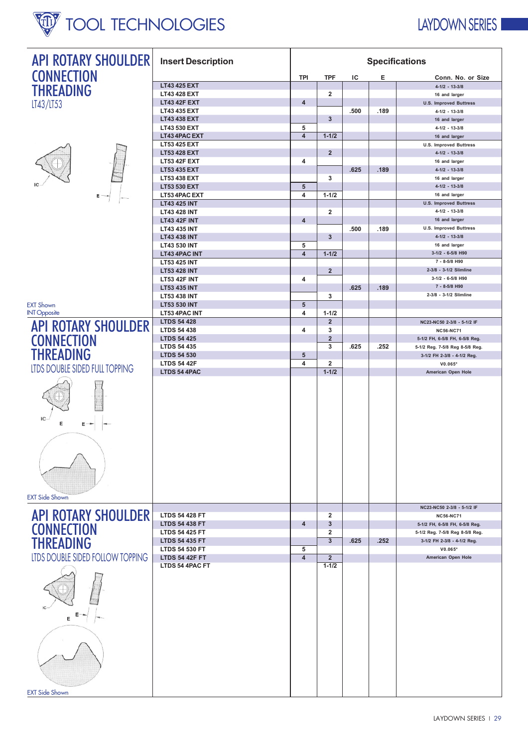# **W** TOOL TECHNOLOGIES

## LAYDOWN SERIES

| <b>API ROTARY SHOULDER</b>            | <b>Insert Description</b>                      | <b>Specifications</b>        |                     |      |      |                                                    |
|---------------------------------------|------------------------------------------------|------------------------------|---------------------|------|------|----------------------------------------------------|
| <b>CONNECTION</b>                     |                                                | <b>TPI</b>                   | <b>TPF</b>          | ΙC   | Е    | Conn. No. or Size                                  |
| <b>THREADING</b>                      | LT43 425 EXT                                   |                              |                     |      |      | $4 - 1/2 - 13 - 3/8$                               |
|                                       | LT43 428 EXT                                   |                              | $\overline{2}$      |      |      | 16 and larger                                      |
| LT43/LT53                             | <b>LT43 42F EXT</b>                            | 4                            |                     |      |      | <b>U.S. Improved Buttress</b>                      |
|                                       | LT43 435 EXT<br>LT43 438 EXT                   |                              | 3                   | .500 | .189 | $4 - 1/2 - 13 - 3/8$<br>16 and larger              |
|                                       | LT43 530 EXT                                   | 5                            |                     |      |      | $4 - 1/2 - 13 - 3/8$                               |
|                                       | LT43 4PAC EXT                                  | 4                            | $1 - 1/2$           |      |      | 16 and larger                                      |
|                                       | <b>LT53 425 EXT</b>                            |                              |                     |      |      | <b>U.S. Improved Buttress</b>                      |
|                                       | <b>LT53 428 EXT</b>                            |                              | $\overline{2}$      |      |      | $4 - 1/2 - 13 - 3/8$                               |
|                                       | <b>LT53 42F EXT</b>                            | 4                            |                     |      |      | 16 and larger                                      |
|                                       | <b>LT53 435 EXT</b>                            |                              | 3                   | .625 | .189 | $4 - 1/2 - 13 - 3/8$                               |
|                                       | LT53 438 EXT<br>LT53 530 EXT                   | 5                            |                     |      |      | 16 and larger<br>$4 - 1/2 - 13 - 3/8$              |
| Ε                                     | LT53 4PAC EXT                                  | 4                            | $1 - 1/2$           |      |      | 16 and larger                                      |
|                                       | <b>LT43 425 INT</b>                            |                              |                     |      |      | <b>U.S. Improved Buttress</b>                      |
|                                       | <b>LT43 428 INT</b>                            |                              | $\overline{2}$      |      |      | $4 - 1/2 - 13 - 3/8$                               |
|                                       | <b>LT43 42F INT</b>                            | 4                            |                     |      |      | 16 and larger                                      |
|                                       | LT43 435 INT                                   |                              |                     | .500 | .189 | <b>U.S. Improved Buttress</b>                      |
|                                       | <b>LT43 438 INT</b>                            |                              | 3                   |      |      | $4 - 1/2 - 13 - 3/8$                               |
|                                       | LT43 530 INT                                   | 5<br>$\overline{\mathbf{4}}$ |                     |      |      | 16 and larger<br>3-1/2 - 6-5/8 H90                 |
|                                       | LT43 4PAC INT<br>LT53 425 INT                  |                              | $1 - 1/2$           |      |      | 7 - 8-5/8 H90                                      |
|                                       | <b>LT53 428 INT</b>                            |                              | $\overline{2}$      |      |      | 2-3/8 - 3-1/2 Slimline                             |
|                                       | <b>LT53 42F INT</b>                            | 4                            |                     |      |      | 3-1/2 - 6-5/8 H90                                  |
|                                       | <b>LT53 435 INT</b>                            |                              |                     | .625 | .189 | 7 - 8-5/8 H90                                      |
|                                       | LT53 438 INT                                   |                              | 3                   |      |      | 2-3/8 - 3-1/2 Slimline                             |
| <b>EXT Shown</b>                      | <b>LT53 530 INT</b>                            | 5                            |                     |      |      |                                                    |
| <b>INT Opposite</b>                   | LT53 4PAC INT                                  | 4                            | $1 - 1/2$           |      |      |                                                    |
| <b>API ROTARY SHOULDER</b>            | <b>LTDS 54 428</b><br><b>LTDS 54 438</b>       | 4                            | $\overline{2}$<br>3 |      |      | NC23-NC50 2-3/8 - 5-1/2 IF                         |
|                                       | <b>LTDS 54 425</b>                             |                              | $\overline{2}$      |      |      | <b>NC56-NC71</b><br>5-1/2 FH, 6-5/8 FH, 6-5/8 Reg. |
| <b>CONNECTION</b>                     | <b>LTDS 54 435</b>                             |                              | 3                   | .625 | .252 | 5-1/2 Reg. 7-5/8 Reg 8-5/8 Reg.                    |
| <b>THREADING</b>                      | <b>LTDS 54 530</b>                             | 5                            |                     |      |      | 3-1/2 FH 2-3/8 - 4-1/2 Reg.                        |
|                                       | <b>LTDS 54 42F</b>                             | 4                            | $\overline{2}$      |      |      | $V0.065*$                                          |
| LTDS DOUBLE SIDED FULL TOPPING        | LTDS 54 4PAC                                   |                              | $1 - 1/2$           |      |      | American Open Hole                                 |
| IC<br>E<br>Ε<br><b>EXT Side Shown</b> |                                                |                              |                     |      |      |                                                    |
|                                       |                                                |                              |                     |      |      | NC23-NC50 2-3/8 - 5-1/2 IF                         |
| <b>API ROTARY SHOULDER</b>            | <b>LTDS 54 428 FT</b><br><b>LTDS 54 438 FT</b> | 4                            | $\overline{2}$<br>3 |      |      | <b>NC56-NC71</b><br>5-1/2 FH, 6-5/8 FH, 6-5/8 Reg. |
| <b>CONNECTION</b>                     | <b>LTDS 54 425 FT</b>                          |                              | $\overline{2}$      |      |      | 5-1/2 Reg. 7-5/8 Reg 8-5/8 Reg.                    |
| <b>THREADING</b>                      | <b>LTDS 54 435 FT</b>                          |                              | $\overline{3}$      | .625 | .252 | 3-1/2 FH 2-3/8 - 4-1/2 Reg.                        |
|                                       | <b>LTDS 54 530 FT</b>                          | 5                            |                     |      |      | $V0.065*$                                          |
| LTDS DOUBLE SIDED FOLLOW TOPPING      | <b>LTDS 54 42F FT</b>                          | $\overline{4}$               | $\overline{2}$      |      |      | American Open Hole                                 |
| Е                                     | LTDS 54 4PAC FT                                |                              | $1 - 1/2$           |      |      |                                                    |
| <b>EXT Side Shown</b>                 |                                                |                              |                     |      |      |                                                    |

**EXT Side Shown**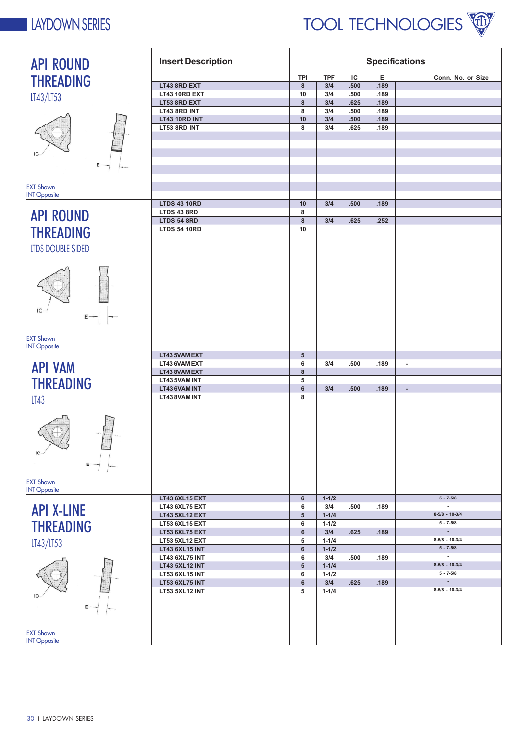

| <b>API ROUND</b>                         | <b>Insert Description</b>                 | <b>Specifications</b> |                        |              |              |                                           |
|------------------------------------------|-------------------------------------------|-----------------------|------------------------|--------------|--------------|-------------------------------------------|
| <b>THREADING</b>                         |                                           | <b>TPI</b>            | <b>TPF</b>             | ΙC           | Е            | Conn. No. or Size                         |
|                                          | LT43 8RD EXT                              | 8                     | 3/4                    | .500         | .189         |                                           |
| LT43/LT53                                | LT43 10RD EXT                             | 10                    | 3/4                    | .500         | .189         |                                           |
|                                          | LT53 8RD EXT                              | 8                     | 3/4                    | .625         | .189         |                                           |
|                                          | LT43 8RD INT                              | 8                     | 3/4                    | .500         | .189         |                                           |
|                                          | LT43 10RD INT<br>LT53 8RD INT             | 10<br>8               | 3/4<br>3/4             | .500<br>.625 | .189<br>.189 |                                           |
|                                          |                                           |                       |                        |              |              |                                           |
|                                          |                                           |                       |                        |              |              |                                           |
|                                          |                                           |                       |                        |              |              |                                           |
| Е                                        |                                           |                       |                        |              |              |                                           |
|                                          |                                           |                       |                        |              |              |                                           |
|                                          |                                           |                       |                        |              |              |                                           |
| <b>EXT Shown</b>                         |                                           |                       |                        |              |              |                                           |
| <b>INT Opposite</b>                      |                                           |                       |                        |              |              |                                           |
|                                          | <b>LTDS 43 10RD</b><br><b>LTDS 43 8RD</b> | 10<br>8               | 3/4                    | .500         | .189         |                                           |
| <b>API ROUND</b>                         | <b>LTDS 54 8RD</b>                        | 8                     | 3/4                    | .625         | .252         |                                           |
|                                          | <b>LTDS 54 10RD</b>                       | 10                    |                        |              |              |                                           |
| <b>THREADING</b>                         |                                           |                       |                        |              |              |                                           |
| <b>LTDS DOUBLE SIDED</b>                 |                                           |                       |                        |              |              |                                           |
|                                          |                                           |                       |                        |              |              |                                           |
|                                          |                                           |                       |                        |              |              |                                           |
|                                          |                                           |                       |                        |              |              |                                           |
|                                          |                                           |                       |                        |              |              |                                           |
|                                          |                                           |                       |                        |              |              |                                           |
|                                          |                                           |                       |                        |              |              |                                           |
| IC                                       |                                           |                       |                        |              |              |                                           |
| $E \rightarrow$                          |                                           |                       |                        |              |              |                                           |
|                                          |                                           |                       |                        |              |              |                                           |
| <b>EXT Shown</b>                         |                                           |                       |                        |              |              |                                           |
| <b>INT Opposite</b>                      |                                           |                       |                        |              |              |                                           |
|                                          | LT43 5VAM EXT                             | 5                     |                        |              |              |                                           |
|                                          |                                           |                       |                        |              |              |                                           |
|                                          | LT43 6VAM EXT                             | 6                     | 3/4                    | .500         | .189         | $\blacksquare$                            |
| <b>API VAM</b>                           | LT43 8VAM EXT                             | 8                     |                        |              |              |                                           |
|                                          | LT43 5VAM INT                             | 5                     |                        |              |              |                                           |
| <b>THREADING</b>                         | LT43 6VAM INT                             | 6                     | 3/4                    | .500         | .189         | ÷                                         |
| LT43                                     | LT43 8VAM INT                             | 8                     |                        |              |              |                                           |
|                                          |                                           |                       |                        |              |              |                                           |
|                                          |                                           |                       |                        |              |              |                                           |
|                                          |                                           |                       |                        |              |              |                                           |
|                                          |                                           |                       |                        |              |              |                                           |
| $\overline{\phantom{a}}$                 |                                           |                       |                        |              |              |                                           |
| IC                                       |                                           |                       |                        |              |              |                                           |
| $\bar{\epsilon}$ –                       |                                           |                       |                        |              |              |                                           |
|                                          |                                           |                       |                        |              |              |                                           |
| <b>EXT Shown</b>                         |                                           |                       |                        |              |              |                                           |
|                                          |                                           |                       |                        |              |              |                                           |
|                                          | LT43 6XL15 EXT                            | 6                     | $1 - 1/2$              |              |              | $5 - 7 - 5/8$<br>$\overline{\phantom{a}}$ |
| <b>INT Opposite</b><br><b>API X-LINE</b> | LT43 6XL75 EXT                            | 6                     | 3/4                    | .500         | .189         | $8-5/8 - 10-3/4$                          |
|                                          | <b>LT43 5XL12 EXT</b>                     | $5\phantom{.0}$<br>6  | $1 - 1/4$<br>$1 - 1/2$ |              |              | $5 - 7 - 5/8$                             |
| <b>THREADING</b>                         | LT53 6XL15 EXT<br><b>LT53 6XL75 EXT</b>   | 6                     | 3/4                    | .625         | .189         |                                           |
|                                          | LT53 5XL12 EXT                            | 5                     | $1 - 1/4$              |              |              | $8-5/8 - 10-3/4$                          |
| LT43/LT53                                | <b>LT43 6XL15 INT</b>                     | 6                     | $1 - 1/2$              |              |              | $5 - 7 - 5/8$                             |
|                                          | <b>LT43 6XL75 INT</b>                     | 6                     | 3/4                    | .500         | .189         | $\overline{\phantom{a}}$                  |
|                                          | <b>LT43 5XL12 INT</b>                     | 5                     | $1 - 1/4$              |              |              | $8-5/8 - 10-3/4$                          |
|                                          | <b>LT53 6XL15 INT</b>                     | 6                     | $1 - 1/2$              |              |              | $5 - 7 - 5/8$                             |
|                                          | <b>LT53 6XL75 INT</b>                     | 6                     | 3/4                    | .625         | .189         | $\overline{\phantom{a}}$                  |
|                                          | <b>LT53 5XL12 INT</b>                     | 5                     | $1 - 1/4$              |              |              | $8-5/8 - 10-3/4$                          |
|                                          |                                           |                       |                        |              |              |                                           |
|                                          |                                           |                       |                        |              |              |                                           |
|                                          |                                           |                       |                        |              |              |                                           |
| <b>EXT Shown</b>                         |                                           |                       |                        |              |              |                                           |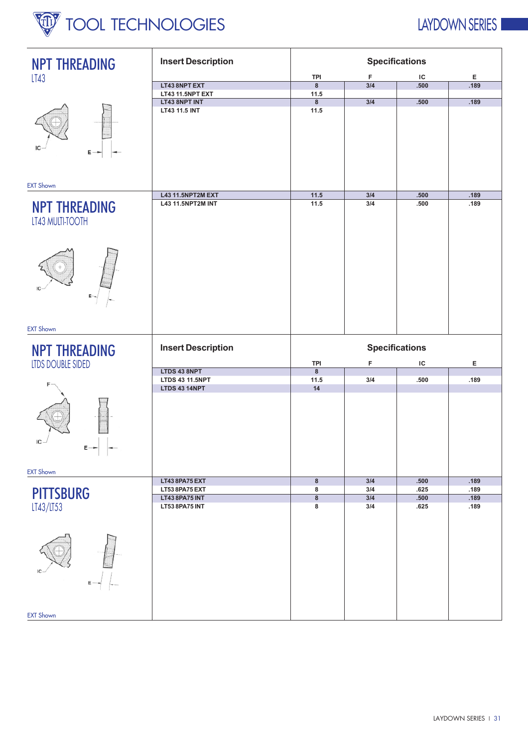

### LAYDOWN SERIES I

| <b>NPT THREADING</b>                                                                  | <b>Insert Description</b> |                         |     | <b>Specifications</b> |      |
|---------------------------------------------------------------------------------------|---------------------------|-------------------------|-----|-----------------------|------|
| LT43                                                                                  |                           | <b>TPI</b>              | F   | IC                    | Е    |
|                                                                                       | LT43 8NPT EXT             | $\bf8$                  | 3/4 | .500                  | .189 |
|                                                                                       | LT43 11.5NPT EXT          | 11.5                    |     |                       |      |
|                                                                                       | LT43 8NPT INT             | 8                       | 3/4 | .500                  | .189 |
| $E -$                                                                                 | LT43 11.5 INT             | 11.5                    |     |                       |      |
| <b>EXT Shown</b>                                                                      |                           |                         |     |                       |      |
|                                                                                       | L43 11.5NPT2M EXT         | $11.5$                  | 3/4 | .500                  | .189 |
| <b>NPT THREADING</b><br>LT43 MULTI-TOOTH<br>IC<br>$E \rightarrow$<br><b>EXT Shown</b> | L43 11.5NPT2M INT         | 11.5                    | 3/4 | .500                  | .189 |
|                                                                                       |                           |                         |     |                       |      |
| <b>NPT THREADING</b>                                                                  | <b>Insert Description</b> |                         |     | <b>Specifications</b> |      |
| <b>LTDS DOUBLE SIDED</b>                                                              |                           | <b>TPI</b>              | F   | IC                    | Е    |
|                                                                                       | LTDS 43 8NPT              | $\overline{\mathbf{8}}$ |     |                       |      |
|                                                                                       | <b>LTDS 43 11.5NPT</b>    | 11.5                    | 3/4 | .500                  | .189 |
| IC<br>$E \rightarrow$<br>$\perp$                                                      | <b>LTDS 43 14NPT</b>      | 14                      |     |                       |      |
| <b>EXT Shown</b>                                                                      |                           |                         |     |                       |      |
|                                                                                       | LT438PA75EXT              | $\bf8$                  | 3/4 | .500                  | .189 |
|                                                                                       | LT53 8PA75 EXT            | 8                       | 3/4 | .625                  | .189 |
| <b>PITTSBURG</b>                                                                      | <b>LT43 8PA75 INT</b>     | $\overline{\mathbf{8}}$ | 3/4 | .500                  | .189 |
| LT43/LT53                                                                             | LT53 8PA75 INT            | 8                       | 3/4 | .625                  | .189 |